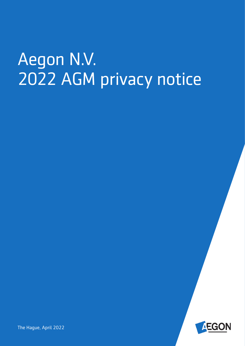# Aegon N.V. 2022 AGM privacy notice



The Hague, April 2022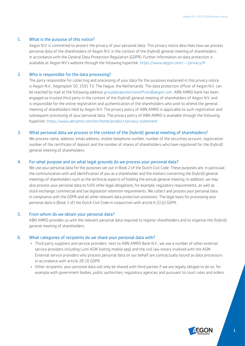#### 1. What is the purpose of this notice?

Aegon N.V. is committed to protect the privacy of your personal data. This privacy notice describes how we process personal data of the shareholders of Aegon N.V. in the context of the (hybrid) general meeting of shareholders, in accordance with the General Data Protection Regulation (GDPR). Further information on data protection is available at Aegon NV's website through the following hyperlink: [https://www.aegon.com/---/privacy/#](https://www.aegon.com/---/privacy/%23)

# 2. Who is responsible for the data processing?

The party responsible for collecting and processing of your data for the purposes explained in this privacy notice is Aegon N.V., Aegonplein 50, 2591 TV, The Hague, the Netherlands. The data protection officer of Aegon N.V. can be reached by mail at the following address [groupdataprotectionofficer@aegon.com.](mailto:groupdataprotectionofficer@aegon.com) ABN AMRO bank has been engaged as trusted third party in the context of the (hybrid) general meeting of shareholders of Aegon N.V. and is responsible for the online registration and authentication of the shareholders who wish to attend the general meeting of shareholders held by Aegon N.V. The privacy policy of ABN AMRO is applicable to such registration and subsequent processing of your personal data. The privacy policy of ABN AMRO is available through the following hyperlink:<https://www.abnamro.com/en/home/product/privacy-statement>

#### 3. What personal data we process in the context of the (hybrid) general meeting of shareholders?

We process name, address, email address, mobile telephone number, number of the securities account, registration number of the certificate of deposit and the number of shares of shareholders who have registered for the (hybrid) general meeting of shareholders.

# 4. For what purpose and on what legal grounds do we process your personal data?

We use your personal data for the purposes set out in Book 2 of the Dutch Civil Code. These purposes are, in particular, the communication with and identification of you as a shareholder and the matters concerning the (hybrid) general meetings of shareholders such as the technical aspects of holding the annual general meeting. In addition, we may also process your personal data to fulfil other legal obligations, for example, regulatory requirements, as well as stock exchange, commercial and tax legislation retention requirements. We collect and process your personal data in compliance with the GDPR and all other relevant data protection provisions. The legal basis for processing your personal data is (Book 2 of) the Dutch Civil Code in conjunction with article 6 (1) (c) GDPR.

#### 5. From whom do we obtain your personal data?

ABN AMRO provides us with the relevant personal data required to register shareholders and to organise the (hybrid) general meeting of shareholders.

## 6. What categories of recipients do we share your personal data with?

- Third party suppliers and service providers: next to ABN AMRO Bank N.V., we use a number of other external service providers including Lumi AGM (voting mobile app) and the civil law notary involved with the AGM. External service providers who process personal data on our behalf are contractually bound as data processors in accordance with article 28 (3) GDPR.
- Other recipients: your personal data will only be shared with third parties if we are legally obliged to do so, for example with government bodies, public authorities, regulatory agencies and pursuant to court rules and orders.